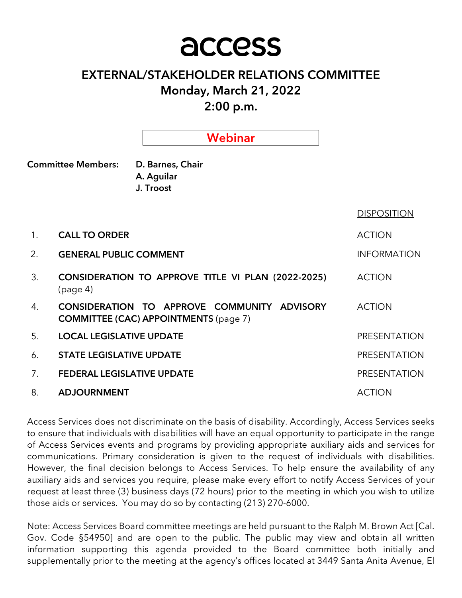# access

## EXTERNAL/STAKEHOLDER RELATIONS COMMITTEE Monday, March 21, 2022

2:00 p.m.

|                                        | Webinar                                                                                     |                    |
|----------------------------------------|---------------------------------------------------------------------------------------------|--------------------|
| <b>Committee Members:</b>              | D. Barnes, Chair<br>A. Aguilar<br>J. Troost                                                 |                    |
|                                        |                                                                                             | <b>DISPOSITION</b> |
| 1 <sub>1</sub><br><b>CALL TO ORDER</b> |                                                                                             | <b>ACTION</b>      |
| 2.                                     | <b>GENERAL PUBLIC COMMENT</b>                                                               |                    |
| 3.<br>(page 4)                         | CONSIDERATION TO APPROVE TITLE VI PLAN (2022-2025)                                          | <b>ACTION</b>      |
| 4.                                     | CONSIDERATION TO APPROVE COMMUNITY ADVISORY<br><b>COMMITTEE (CAC) APPOINTMENTS (page 7)</b> | <b>ACTION</b>      |
| 5.                                     | <b>LOCAL LEGISLATIVE UPDATE</b>                                                             |                    |
| 6.                                     | <b>STATE LEGISLATIVE UPDATE</b>                                                             |                    |
| 7.                                     | <b>FEDERAL LEGISLATIVE UPDATE</b>                                                           |                    |
| 8.<br><b>ADJOURNMENT</b>               |                                                                                             | <b>ACTION</b>      |

Access Services does not discriminate on the basis of disability. Accordingly, Access Services seeks to ensure that individuals with disabilities will have an equal opportunity to participate in the range of Access Services events and programs by providing appropriate auxiliary aids and services for communications. Primary consideration is given to the request of individuals with disabilities. However, the final decision belongs to Access Services. To help ensure the availability of any auxiliary aids and services you require, please make every effort to notify Access Services of your request at least three (3) business days (72 hours) prior to the meeting in which you wish to utilize those aids or services. You may do so by contacting (213) 270-6000.

Note: Access Services Board committee meetings are held pursuant to the Ralph M. Brown Act [Cal. Gov. Code §54950] and are open to the public. The public may view and obtain all written information supporting this agenda provided to the Board committee both initially and supplementally prior to the meeting at the agency's offices located at 3449 Santa Anita Avenue, El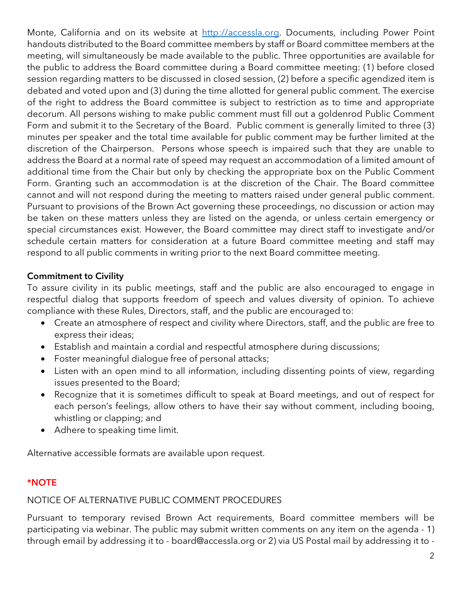Monte, California and on its website at http://accessla.org. Documents, including Power Point handouts distributed to the Board committee members by staff or Board committee members at the meeting, will simultaneously be made available to the public. Three opportunities are available for the public to address the Board committee during a Board committee meeting: (1) before closed session regarding matters to be discussed in closed session, (2) before a specific agendized item is debated and voted upon and (3) during the time allotted for general public comment. The exercise of the right to address the Board committee is subject to restriction as to time and appropriate decorum. All persons wishing to make public comment must fill out a goldenrod Public Comment Form and submit it to the Secretary of the Board. Public comment is generally limited to three (3) minutes per speaker and the total time available for public comment may be further limited at the discretion of the Chairperson. Persons whose speech is impaired such that they are unable to address the Board at a normal rate of speed may request an accommodation of a limited amount of additional time from the Chair but only by checking the appropriate box on the Public Comment Form. Granting such an accommodation is at the discretion of the Chair. The Board committee cannot and will not respond during the meeting to matters raised under general public comment. Pursuant to provisions of the Brown Act governing these proceedings, no discussion or action may be taken on these matters unless they are listed on the agenda, or unless certain emergency or special circumstances exist. However, the Board committee may direct staff to investigate and/or schedule certain matters for consideration at a future Board committee meeting and staff may respond to all public comments in writing prior to the next Board committee meeting.

## Commitment to Civility

To assure civility in its public meetings, staff and the public are also encouraged to engage in respectful dialog that supports freedom of speech and values diversity of opinion. To achieve compliance with these Rules, Directors, staff, and the public are encouraged to:

- Create an atmosphere of respect and civility where Directors, staff, and the public are free to express their ideas;
- Establish and maintain a cordial and respectful atmosphere during discussions;
- Foster meaningful dialogue free of personal attacks;
- Listen with an open mind to all information, including dissenting points of view, regarding issues presented to the Board;
- Recognize that it is sometimes difficult to speak at Board meetings, and out of respect for each person's feelings, allow others to have their say without comment, including booing, whistling or clapping; and
- Adhere to speaking time limit.

Alternative accessible formats are available upon request.

## \*NOTE

## NOTICE OF ALTERNATIVE PUBLIC COMMENT PROCEDURES

Pursuant to temporary revised Brown Act requirements, Board committee members will be participating via webinar. The public may submit written comments on any item on the agenda - 1) through email by addressing it to - board@accessla.org or 2) via US Postal mail by addressing it to -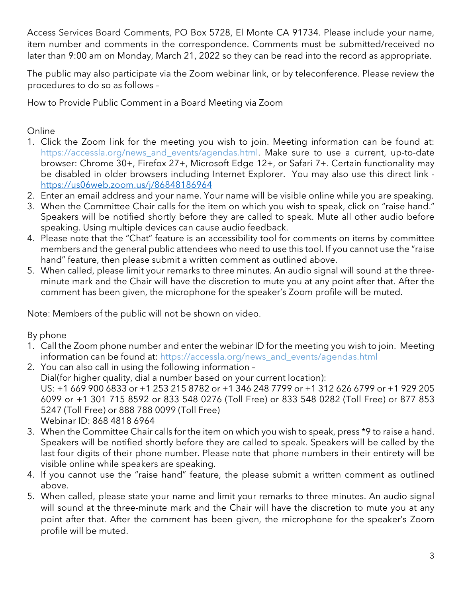Access Services Board Comments, PO Box 5728, El Monte CA 91734. Please include your name, item number and comments in the correspondence. Comments must be submitted/received no later than 9:00 am on Monday, March 21, 2022 so they can be read into the record as appropriate.

The public may also participate via the Zoom webinar link, or by teleconference. Please review the procedures to do so as follows –

How to Provide Public Comment in a Board Meeting via Zoom

## Online

- 1. Click the Zoom link for the meeting you wish to join. Meeting information can be found at: https://accessla.org/news\_and\_events/agendas.html. Make sure to use a current, up-to-date browser: Chrome 30+, Firefox 27+, Microsoft Edge 12+, or Safari 7+. Certain functionality may be disabled in older browsers including Internet Explorer. You may also use this direct link https://us06web.zoom.us/j/86848186964
- 2. Enter an email address and your name. Your name will be visible online while you are speaking.
- 3. When the Committee Chair calls for the item on which you wish to speak, click on "raise hand." Speakers will be notified shortly before they are called to speak. Mute all other audio before speaking. Using multiple devices can cause audio feedback.
- 4. Please note that the "Chat" feature is an accessibility tool for comments on items by committee members and the general public attendees who need to use this tool. If you cannot use the "raise hand" feature, then please submit a written comment as outlined above.
- 5. When called, please limit your remarks to three minutes. An audio signal will sound at the threeminute mark and the Chair will have the discretion to mute you at any point after that. After the comment has been given, the microphone for the speaker's Zoom profile will be muted.

Note: Members of the public will not be shown on video.

## By phone

- 1. Call the Zoom phone number and enter the webinar ID for the meeting you wish to join. Meeting information can be found at: https://accessla.org/news\_and\_events/agendas.html
- 2. You can also call in using the following information Dial(for higher quality, dial a number based on your current location): US: +1 669 900 6833 or +1 253 215 8782 or +1 346 248 7799 or +1 312 626 6799 or +1 929 205 6099 or +1 301 715 8592 or 833 548 0276 (Toll Free) or 833 548 0282 (Toll Free) or 877 853 5247 (Toll Free) or 888 788 0099 (Toll Free) Webinar ID: 868 4818 6964
- 3. When the Committee Chair calls for the item on which you wish to speak, press \*9 to raise a hand. Speakers will be notified shortly before they are called to speak. Speakers will be called by the last four digits of their phone number. Please note that phone numbers in their entirety will be visible online while speakers are speaking.
- 4. If you cannot use the "raise hand" feature, the please submit a written comment as outlined above.
- 5. When called, please state your name and limit your remarks to three minutes. An audio signal will sound at the three-minute mark and the Chair will have the discretion to mute you at any point after that. After the comment has been given, the microphone for the speaker's Zoom profile will be muted.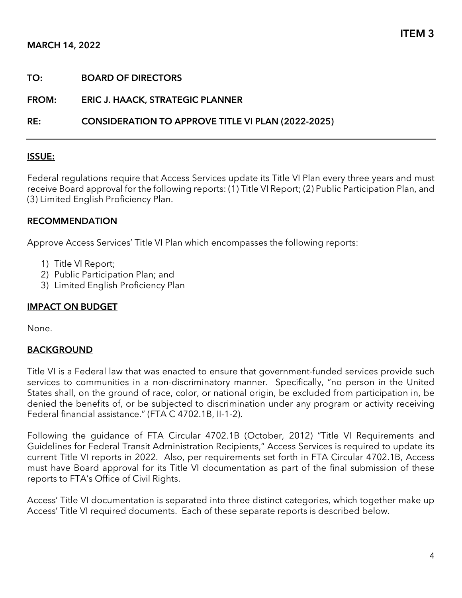#### MARCH 14, 2022

| TO: | <b>BOARD OF DIRECTORS</b> |
|-----|---------------------------|
|     |                           |

FROM: ERIC J. HAACK, STRATEGIC PLANNER

RE: CONSIDERATION TO APPROVE TITLE VI PLAN (2022-2025)

#### ISSUE:

Federal regulations require that Access Services update its Title VI Plan every three years and must receive Board approval for the following reports: (1) Title VI Report; (2) Public Participation Plan, and (3) Limited English Proficiency Plan.

#### RECOMMENDATION

Approve Access Services' Title VI Plan which encompasses the following reports:

- 1) Title VI Report;
- 2) Public Participation Plan; and
- 3) Limited English Proficiency Plan

#### IMPACT ON BUDGET

None.

#### BACKGROUND

Title VI is a Federal law that was enacted to ensure that government-funded services provide such services to communities in a non-discriminatory manner. Specifically, "no person in the United States shall, on the ground of race, color, or national origin, be excluded from participation in, be denied the benefits of, or be subjected to discrimination under any program or activity receiving Federal financial assistance." (FTA C 4702.1B, II-1-2).

Following the guidance of FTA Circular 4702.1B (October, 2012) "Title VI Requirements and Guidelines for Federal Transit Administration Recipients," Access Services is required to update its current Title VI reports in 2022. Also, per requirements set forth in FTA Circular 4702.1B, Access must have Board approval for its Title VI documentation as part of the final submission of these reports to FTA's Office of Civil Rights.

Access' Title VI documentation is separated into three distinct categories, which together make up Access' Title VI required documents. Each of these separate reports is described below.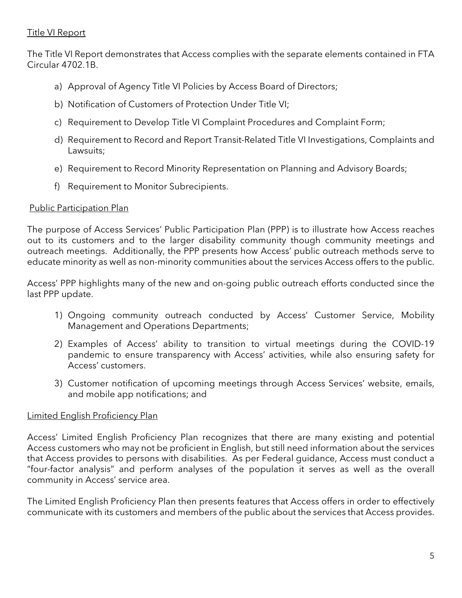#### Title VI Report

The Title VI Report demonstrates that Access complies with the separate elements contained in FTA Circular 4702.1B.

- a) Approval of Agency Title VI Policies by Access Board of Directors;
- b) Notification of Customers of Protection Under Title VI;
- c) Requirement to Develop Title VI Complaint Procedures and Complaint Form;
- d) Requirement to Record and Report Transit-Related Title VI Investigations, Complaints and Lawsuits;
- e) Requirement to Record Minority Representation on Planning and Advisory Boards;
- f) Requirement to Monitor Subrecipients.

#### Public Participation Plan

The purpose of Access Services' Public Participation Plan (PPP) is to illustrate how Access reaches out to its customers and to the larger disability community though community meetings and outreach meetings. Additionally, the PPP presents how Access' public outreach methods serve to educate minority as well as non-minority communities about the services Access offers to the public.

Access' PPP highlights many of the new and on-going public outreach efforts conducted since the last PPP update.

- 1) Ongoing community outreach conducted by Access' Customer Service, Mobility Management and Operations Departments;
- 2) Examples of Access' ability to transition to virtual meetings during the COVID-19 pandemic to ensure transparency with Access' activities, while also ensuring safety for Access' customers.
- 3) Customer notification of upcoming meetings through Access Services' website, emails, and mobile app notifications; and

#### Limited English Proficiency Plan

Access' Limited English Proficiency Plan recognizes that there are many existing and potential Access customers who may not be proficient in English, but still need information about the services that Access provides to persons with disabilities. As per Federal guidance, Access must conduct a "four-factor analysis" and perform analyses of the population it serves as well as the overall community in Access' service area.

The Limited English Proficiency Plan then presents features that Access offers in order to effectively communicate with its customers and members of the public about the services that Access provides.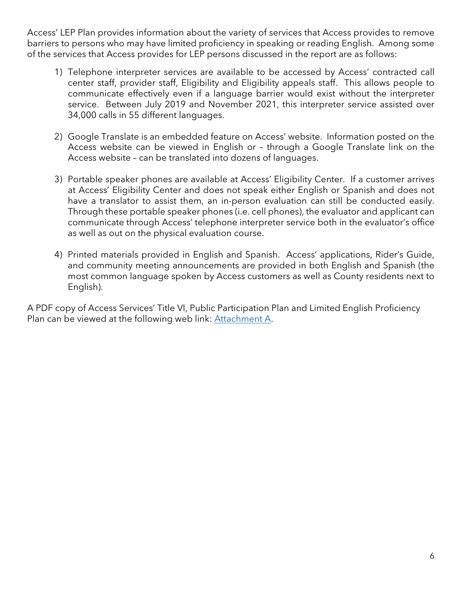Access' LEP Plan provides information about the variety of services that Access provides to remove barriers to persons who may have limited proficiency in speaking or reading English. Among some of the services that Access provides for LEP persons discussed in the report are as follows:

- 1) Telephone interpreter services are available to be accessed by Access' contracted call center staff, provider staff, Eligibility and Eligibility appeals staff. This allows people to communicate effectively even if a language barrier would exist without the interpreter service. Between July 2019 and November 2021, this interpreter service assisted over 34,000 calls in 55 different languages.
- 2) Google Translate is an embedded feature on Access' website. Information posted on the Access website can be viewed in English or – through a Google Translate link on the Access website – can be translated into dozens of languages.
- 3) Portable speaker phones are available at Access' Eligibility Center. If a customer arrives at Access' Eligibility Center and does not speak either English or Spanish and does not have a translator to assist them, an in-person evaluation can still be conducted easily. Through these portable speaker phones (i.e. cell phones), the evaluator and applicant can communicate through Access' telephone interpreter service both in the evaluator's office as well as out on the physical evaluation course.
- 4) Printed materials provided in English and Spanish. Access' applications, Rider's Guide, and community meeting announcements are provided in both English and Spanish (the most common language spoken by Access customers as well as County residents next to English).

A PDF copy of Access Services' Title VI, Public Participation Plan and Limited English Proficiency Plan can be viewed at the following web link: Attachment A.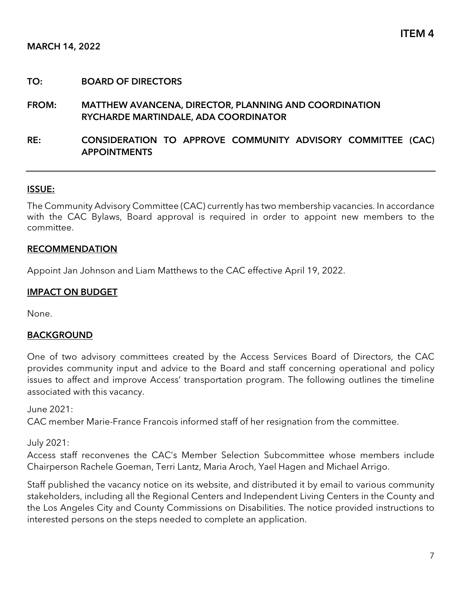#### TO: BOARD OF DIRECTORS

#### FROM: MATTHEW AVANCENA, DIRECTOR, PLANNING AND COORDINATION RYCHARDE MARTINDALE, ADA COORDINATOR

#### RE: CONSIDERATION TO APPROVE COMMUNITY ADVISORY COMMITTEE (CAC) **APPOINTMENTS**

#### ISSUE:

The Community Advisory Committee (CAC) currently has two membership vacancies. In accordance with the CAC Bylaws, Board approval is required in order to appoint new members to the committee.

#### RECOMMENDATION

Appoint Jan Johnson and Liam Matthews to the CAC effective April 19, 2022.

#### IMPACT ON BUDGET

None.

#### **BACKGROUND**

One of two advisory committees created by the Access Services Board of Directors, the CAC provides community input and advice to the Board and staff concerning operational and policy issues to affect and improve Access' transportation program. The following outlines the timeline associated with this vacancy.

June 2021:

CAC member Marie-France Francois informed staff of her resignation from the committee.

July 2021:

Access staff reconvenes the CAC's Member Selection Subcommittee whose members include Chairperson Rachele Goeman, Terri Lantz, Maria Aroch, Yael Hagen and Michael Arrigo.

Staff published the vacancy notice on its website, and distributed it by email to various community stakeholders, including all the Regional Centers and Independent Living Centers in the County and the Los Angeles City and County Commissions on Disabilities. The notice provided instructions to interested persons on the steps needed to complete an application.